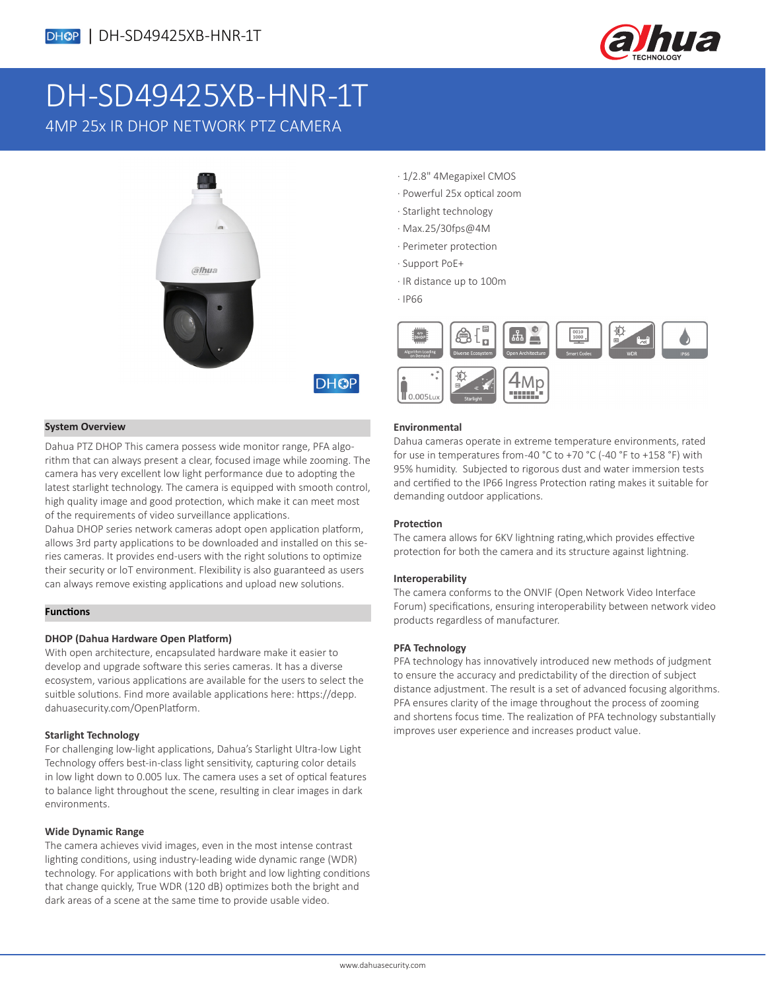

# DH-SD49425XB-HNR-1T

4MP 25x IR DHOP NETWORK PTZ CAMERA



- · 1/2.8" 4Megapixel CMOS
- · Powerful 25x optical zoom
- · Starlight technology
- · Max.25/30fps@4M
- · Perimeter protection
- · Support PoE+
- · IR distance up to 100m

· IP66

**DHOP** 



#### **System Overview**

Dahua PTZ DHOP This camera possess wide monitor range, PFA algorithm that can always present a clear, focused image while zooming. The camera has very excellent low light performance due to adopting the latest starlight technology. The camera is equipped with smooth control, high quality image and good protection, which make it can meet most of the requirements of video surveillance applications.

Dahua DHOP series network cameras adopt open application platform, allows 3rd party applications to be downloaded and installed on this series cameras. It provides end-users with the right solutions to optimize their security or loT environment. Flexibility is also guaranteed as users can always remove existing applications and upload new solutions.

#### **Functions**

#### **DHOP (Dahua Hardware Open Platform)**

With open architecture, encapsulated hardware make it easier to develop and upgrade software this series cameras. It has a diverse ecosystem, various applications are available for the users to select the suitble solutions. Find more available applications here: https://depp. dahuasecurity.com/OpenPlatform.

#### **Starlight Technology**

For challenging low-light applications, Dahua's Starlight Ultra-low Light Technology offers best-in-class light sensitivity, capturing color details in low light down to 0.005 lux. The camera uses a set of optical features to balance light throughout the scene, resulting in clear images in dark environments.

#### **Wide Dynamic Range**

The camera achieves vivid images, even in the most intense contrast lighting conditions, using industry-leading wide dynamic range (WDR) technology. For applications with both bright and low lighting conditions that change quickly, True WDR (120 dB) optimizes both the bright and dark areas of a scene at the same time to provide usable video.

#### **Environmental**

Dahua cameras operate in extreme temperature environments, rated for use in temperatures from -40 °C to +70 °C (-40 °F to +158 °F) with 95% humidity. Subjected to rigorous dust and water immersion tests and certified to the IP66 Ingress Protection rating makes it suitable for demanding outdoor applications.

#### **Protection**

The camera allows for 6KV lightning rating,which provides effective protection for both the camera and its structure against lightning.

#### **Interoperability**

The camera conforms to the ONVIF (Open Network Video Interface Forum) specifications, ensuring interoperability between network video products regardless of manufacturer.

#### **PFA Technology**

PFA technology has innovatively introduced new methods of judgment to ensure the accuracy and predictability of the direction of subject distance adjustment. The result is a set of advanced focusing algorithms. PFA ensures clarity of the image throughout the process of zooming and shortens focus time. The realization of PFA technology substantially improves user experience and increases product value.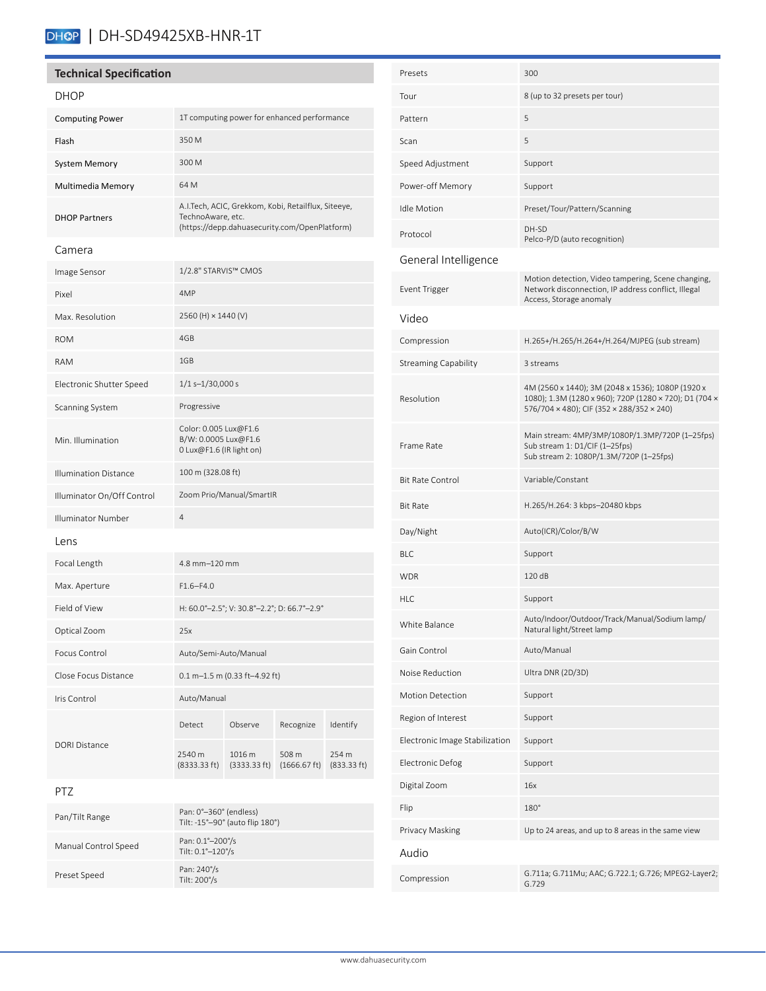# DHOP | DH-SD49425XB-HNR-1T

## **Technical Specification**

#### DHOP

| <b>Computing Power</b> | 1T computing power for enhanced performance                                                                               |
|------------------------|---------------------------------------------------------------------------------------------------------------------------|
| Flash                  | 350 M                                                                                                                     |
| <b>System Memory</b>   | 300 M                                                                                                                     |
| Multimedia Memory      | 64 M                                                                                                                      |
| <b>DHOP Partners</b>   | A.I.Tech, ACIC, Grekkom, Kobi, Retailflux, Siteeye,<br>TechnoAware, etc.<br>(https://depp.dahuasecurity.com/OpenPlatform) |
| Camera                 |                                                                                                                           |

| Image Sensor                 | 1/2.8" STARVIS™ CMOS                                                      |                        |                       |                      |
|------------------------------|---------------------------------------------------------------------------|------------------------|-----------------------|----------------------|
| Pixel                        | 4MP                                                                       |                        |                       |                      |
| Max. Resolution              | 2560 (H) × 1440 (V)                                                       |                        |                       |                      |
| <b>ROM</b>                   | 4GB                                                                       |                        |                       |                      |
| <b>RAM</b>                   | 1GB                                                                       |                        |                       |                      |
| Electronic Shutter Speed     | $1/1$ s-1/30,000 s                                                        |                        |                       |                      |
| Scanning System              | Progressive                                                               |                        |                       |                      |
| Min. Illumination            | Color: 0.005 Lux@F1.6<br>B/W: 0.0005 Lux@F1.6<br>O Lux@F1.6 (IR light on) |                        |                       |                      |
| <b>Illumination Distance</b> | 100 m (328.08 ft)                                                         |                        |                       |                      |
| Illuminator On/Off Control   | Zoom Prio/Manual/SmartIR                                                  |                        |                       |                      |
| <b>Illuminator Number</b>    | 4                                                                         |                        |                       |                      |
| Lens                         |                                                                           |                        |                       |                      |
| Focal Length                 |                                                                           | 4.8 mm-120 mm          |                       |                      |
| Max. Aperture                | $F1.6 - F4.0$                                                             |                        |                       |                      |
| Field of View                | H: 60.0°-2.5°; V: 30.8°-2.2°; D: 66.7°-2.9°                               |                        |                       |                      |
| Optical Zoom                 | 25x                                                                       |                        |                       |                      |
| <b>Focus Control</b>         | Auto/Semi-Auto/Manual                                                     |                        |                       |                      |
| Close Focus Distance         | 0.1 m-1.5 m (0.33 ft-4.92 ft)                                             |                        |                       |                      |
| Iris Control                 | Auto/Manual                                                               |                        |                       |                      |
| <b>DORI Distance</b>         | Detect                                                                    | Observe                | Recognize             | Identify             |
|                              | 2540 m<br>(8333.33 ft)                                                    | 1016 m<br>(3333.33 ft) | 508 m<br>(1666.67 ft) | 254 m<br>(833.33 ft) |
| <b>PTZ</b>                   |                                                                           |                        |                       |                      |
| Pan/Tilt Range               | Pan: 0°-360° (endless)<br>Tilt: -15°-90° (auto flip 180°)                 |                        |                       |                      |
| Manual Control Speed         | Pan: 0.1°-200°/s<br>Tilt: 0.1°-120°/s                                     |                        |                       |                      |
| Preset Speed                 | Pan: 240%<br>Tilt: 200%                                                   |                        |                       |                      |

| Presets                        | 300                                                                                                                                                      |
|--------------------------------|----------------------------------------------------------------------------------------------------------------------------------------------------------|
| Tour                           | 8 (up to 32 presets per tour)                                                                                                                            |
| Pattern                        | 5                                                                                                                                                        |
| Scan                           | 5                                                                                                                                                        |
| Speed Adjustment               | Support                                                                                                                                                  |
| Power-off Memory               | Support                                                                                                                                                  |
| <b>Idle Motion</b>             | Preset/Tour/Pattern/Scanning                                                                                                                             |
| Protocol                       | DH-SD<br>Pelco-P/D (auto recognition)                                                                                                                    |
| General Intelligence           |                                                                                                                                                          |
| Event Trigger                  | Motion detection, Video tampering, Scene changing,<br>Network disconnection, IP address conflict, Illegal<br>Access, Storage anomaly                     |
| Video                          |                                                                                                                                                          |
| Compression                    | H.265+/H.265/H.264+/H.264/MJPEG (sub stream)                                                                                                             |
| <b>Streaming Capability</b>    | 3 streams                                                                                                                                                |
| Resolution                     | 4M (2560 x 1440); 3M (2048 x 1536); 1080P (1920 x<br>1080); 1.3M (1280 x 960); 720P (1280 × 720); D1 (704 ×<br>576/704 × 480); CIF (352 × 288/352 × 240) |
| Frame Rate                     | Main stream: 4MP/3MP/1080P/1.3MP/720P (1-25fps)<br>Sub stream 1: D1/CIF (1-25fps)<br>Sub stream 2: 1080P/1.3M/720P (1-25fps)                             |
| <b>Bit Rate Control</b>        | Variable/Constant                                                                                                                                        |
| <b>Bit Rate</b>                | H.265/H.264: 3 kbps-20480 kbps                                                                                                                           |
| Day/Night                      | Auto(ICR)/Color/B/W                                                                                                                                      |
| <b>BLC</b>                     | Support                                                                                                                                                  |
| <b>WDR</b>                     | 120 dB                                                                                                                                                   |
| <b>HLC</b>                     | Support                                                                                                                                                  |
| White Balance                  | Auto/Indoor/Outdoor/Track/Manual/Sodium lamp/<br>Natural light/Street lamp                                                                               |
| Gain Control                   | Auto/Manual                                                                                                                                              |
| Noise Reduction                | Ultra DNR (2D/3D)                                                                                                                                        |
| <b>Motion Detection</b>        | Support                                                                                                                                                  |
| Region of Interest             | Support                                                                                                                                                  |
| Electronic Image Stabilization | Support                                                                                                                                                  |
| <b>Electronic Defog</b>        | Support                                                                                                                                                  |
| Digital Zoom                   | 16x                                                                                                                                                      |
| Flip                           | 180°                                                                                                                                                     |
| Privacy Masking                | Up to 24 areas, and up to 8 areas in the same view                                                                                                       |
| Audio                          |                                                                                                                                                          |
| Compression                    | G.711a; G.711Mu; AAC; G.722.1; G.726; MPEG2-Layer2;<br>G.729                                                                                             |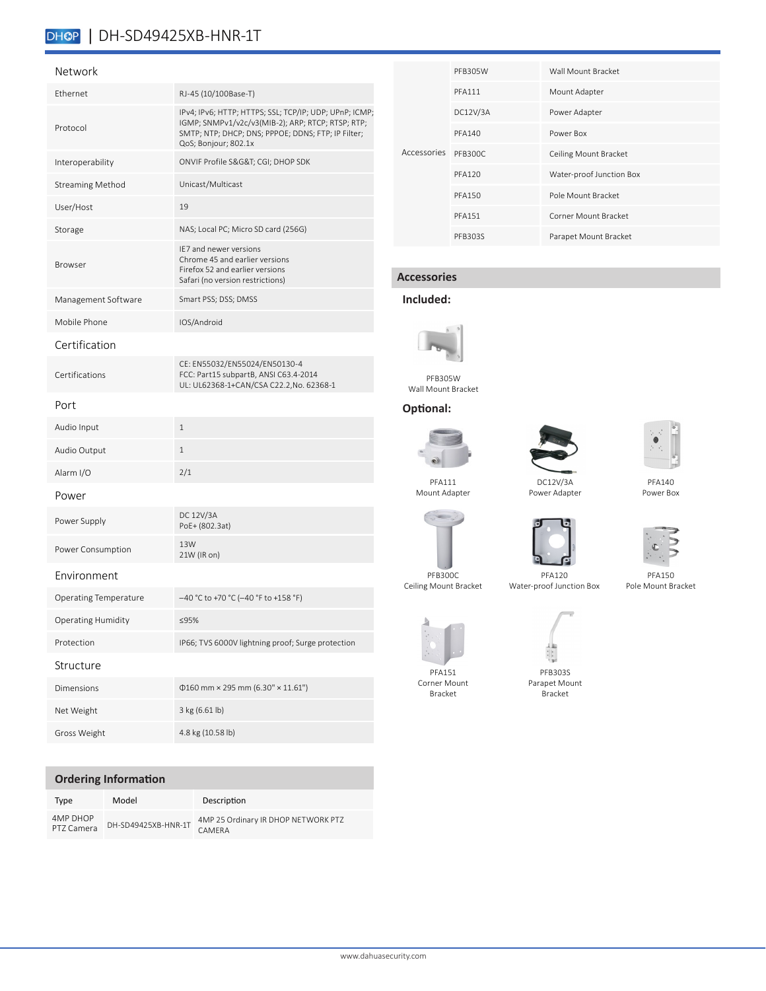## DHOP | DH-SD49425XB-HNR-1T

#### Network

| Ethernet                     | RJ-45 (10/100Base-T)                                                                                                                                                                      |
|------------------------------|-------------------------------------------------------------------------------------------------------------------------------------------------------------------------------------------|
| Protocol                     | IPv4; IPv6; HTTP; HTTPS; SSL; TCP/IP; UDP; UPnP; ICMP;<br>IGMP; SNMPv1/v2c/v3(MIB-2); ARP; RTCP; RTSP; RTP;<br>SMTP; NTP; DHCP; DNS; PPPOE; DDNS; FTP; IP Filter;<br>QoS; Bonjour; 802.1x |
| Interoperability             | ONVIF Profile S&G&T CGI; DHOP SDK                                                                                                                                                         |
| <b>Streaming Method</b>      | Unicast/Multicast                                                                                                                                                                         |
| User/Host                    | 19                                                                                                                                                                                        |
| Storage                      | NAS; Local PC; Micro SD card (256G)                                                                                                                                                       |
| <b>Browser</b>               | IE7 and newer versions<br>Chrome 45 and earlier versions<br>Firefox 52 and earlier versions<br>Safari (no version restrictions)                                                           |
| Management Software          | Smart PSS; DSS; DMSS                                                                                                                                                                      |
| Mobile Phone                 | IOS/Android                                                                                                                                                                               |
| Certification                |                                                                                                                                                                                           |
| Certifications               | CE: EN55032/EN55024/EN50130-4<br>FCC: Part15 subpartB, ANSI C63.4-2014<br>UL: UL62368-1+CAN/CSA C22.2,No. 62368-1                                                                         |
| Port                         |                                                                                                                                                                                           |
| Audio Input                  | $\mathbf{1}$                                                                                                                                                                              |
| Audio Output                 | $\mathbf{1}$                                                                                                                                                                              |
| Alarm I/O                    | 2/1                                                                                                                                                                                       |
| Power                        |                                                                                                                                                                                           |
| Power Supply                 | DC 12V/3A<br>PoE+ (802.3at)                                                                                                                                                               |
| Power Consumption            | 13W<br>21W (IR on)                                                                                                                                                                        |
| Environment                  |                                                                                                                                                                                           |
| <b>Operating Temperature</b> | -40 °C to +70 °C (-40 °F to +158 °F)                                                                                                                                                      |
| <b>Operating Humidity</b>    | < 95%                                                                                                                                                                                     |
| Protection                   | IP66; TVS 6000V lightning proof; Surge protection                                                                                                                                         |
| Structure                    |                                                                                                                                                                                           |
| <b>Dimensions</b>            | $0.160$ mm × 295 mm (6.30" × 11.61")                                                                                                                                                      |
| Net Weight                   | 3 kg (6.61 lb)                                                                                                                                                                            |
| Gross Weight                 | 4.8 kg (10.58 lb)                                                                                                                                                                         |

| Accessories | <b>PFB305W</b> | Wall Mount Bracket       |
|-------------|----------------|--------------------------|
|             | <b>PFA111</b>  | Mount Adapter            |
|             | DC12V/3A       | Power Adapter            |
|             | <b>PFA140</b>  | Power Box                |
|             | PFB300C        | Ceiling Mount Bracket    |
|             | <b>PFA120</b>  | Water-proof Junction Box |
|             | <b>PFA150</b>  | Pole Mount Bracket       |
|             | <b>PFA151</b>  | Corner Mount Bracket     |
|             | <b>PFB303S</b> | Parapet Mount Bracket    |
|             |                |                          |

## **Accessories**

### **Included:**



PFB305W Wall Mount Bracket

## **Optional:**



PFA111 Mount Adapter

PFB300C Ceiling Mount Bracket





DC12V/3A Power Adapter







Pole Mount Bracket



PFA151 Corner Mount Bracket



PFA120 Water-proof Junction Box

PFB303S Parapet Mount Bracket

PFA150

**Ordering Information**

| Type                   | Model               | Description                                   |
|------------------------|---------------------|-----------------------------------------------|
| 4MP DHOP<br>PT7 Camera | DH-SD49425XB-HNR-1T | 4MP 25 Ordinary IR DHOP NETWORK PTZ<br>CAMERA |